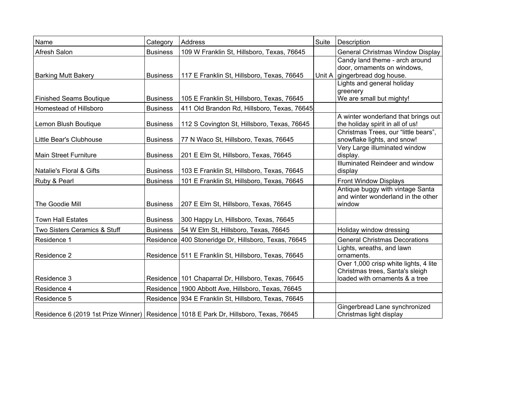| Name                           | Category        | Address                                                                               | Suite | <b>Description</b>                                                                                         |
|--------------------------------|-----------------|---------------------------------------------------------------------------------------|-------|------------------------------------------------------------------------------------------------------------|
| Afresh Salon                   | <b>Business</b> | 109 W Franklin St, Hillsboro, Texas, 76645                                            |       | General Christmas Window Display                                                                           |
| <b>Barking Mutt Bakery</b>     | <b>Business</b> | 117 E Franklin St, Hillsboro, Texas, 76645                                            |       | Candy land theme - arch around<br>door, ornaments on windows,<br>Unit A gingerbread dog house.             |
|                                |                 |                                                                                       |       | Lights and general holiday<br>greenery                                                                     |
| <b>Finished Seams Boutique</b> | <b>Business</b> | 105 E Franklin St, Hillsboro, Texas, 76645                                            |       | We are small but mighty!                                                                                   |
| Homestead of Hillsboro         | <b>Business</b> | 411 Old Brandon Rd, Hillsboro, Texas, 76645                                           |       |                                                                                                            |
| Lemon Blush Boutique           | <b>Business</b> | 112 S Covington St, Hillsboro, Texas, 76645                                           |       | A winter wonderland that brings out<br>the holiday spirit in all of us!                                    |
| Little Bear's Clubhouse        | <b>Business</b> | 77 N Waco St, Hillsboro, Texas, 76645                                                 |       | Christmas Trees, our "little bears",<br>snowflake lights, and snow!                                        |
| Main Street Furniture          | <b>Business</b> | 201 E Elm St, Hillsboro, Texas, 76645                                                 |       | Very Large illuminated window<br>display.                                                                  |
| Natalie's Floral & Gifts       | <b>Business</b> | 103 E Franklin St, Hillsboro, Texas, 76645                                            |       | Illuminated Reindeer and window<br>display                                                                 |
| Ruby & Pearl                   | <b>Business</b> | 101 E Franklin St, Hillsboro, Texas, 76645                                            |       | Front Window Displays                                                                                      |
| The Goodie Mill                | <b>Business</b> | 207 E Elm St, Hillsboro, Texas, 76645                                                 |       | Antique buggy with vintage Santa<br>and winter wonderland in the other<br>window                           |
| <b>Town Hall Estates</b>       | <b>Business</b> | 300 Happy Ln, Hillsboro, Texas, 76645                                                 |       |                                                                                                            |
| Two Sisters Ceramics & Stuff   | <b>Business</b> | 54 W Elm St, Hillsboro, Texas, 76645                                                  |       | Holiday window dressing                                                                                    |
| Residence 1                    | Residence       | 400 Stoneridge Dr, Hillsboro, Texas, 76645                                            |       | <b>General Christmas Decorations</b>                                                                       |
| Residence 2                    |                 | Residence   511 E Franklin St, Hillsboro, Texas, 76645                                |       | Lights, wreaths, and lawn<br>ornaments.                                                                    |
| Residence 3                    |                 | Residence   101 Chaparral Dr, Hillsboro, Texas, 76645                                 |       | Over 1,000 crisp white lights, 4 lite<br>Christmas trees, Santa's sleigh<br>loaded with ornaments & a tree |
| Residence 4                    |                 | Residence   1900 Abbott Ave, Hillsboro, Texas, 76645                                  |       |                                                                                                            |
| Residence 5                    |                 | Residence   934 E Franklin St, Hillsboro, Texas, 76645                                |       |                                                                                                            |
|                                |                 | Residence 6 (2019 1st Prize Winner) Residence 1018 E Park Dr, Hillsboro, Texas, 76645 |       | Gingerbread Lane synchronized<br>Christmas light display                                                   |